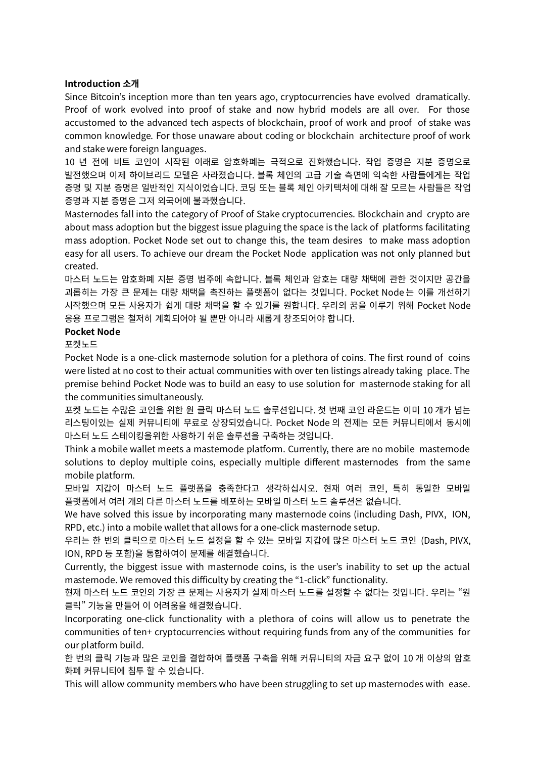# **Introduction 소개**

Since Bitcoin's inception more than ten years ago, cryptocurrencies have evolved dramatically. Proof of work evolved into proof of stake and now hybrid models are all over. For those accustomed to the advanced tech aspects of blockchain, proof of work and proof of stake was common knowledge. For those unaware about coding or blockchain architecture proof of work and stake were foreign languages.

10 년 전에 비트 코인이 시작된 이래로 암호화폐는 극적으로 진화했습니다. 작업 증명은 지분 증명으로 발전했으며 이제 하이브리드 모델은 사라졌습니다. 블록 체인의 고급 기술 측면에 익숙한 사람들에게는 작업 증명 및 지분 증명은 일반적인 지식이었습니다. 코딩 또는 블록 체인 아키텍처에 대해 잘 모르는 사람들은 작업 증명과 지분 증명은 그저 외국어에 불과했습니다.

Masternodes fall into the category of Proof of Stake cryptocurrencies. Blockchain and crypto are about mass adoption but the biggest issue plaguing the space is the lack of platforms facilitating mass adoption. Pocket Node set out to change this, the team desires to make mass adoption easy for all users. To achieve our dream the Pocket Node application was not only planned but created.

마스터 노드는 암호화폐 지분 증명 범주에 속합니다. 블록 체인과 암호는 대량 채택에 관한 것이지만 공간을 괴롭히는 가장 큰 문제는 대량 채택을 촉진하는 플랫폼이 없다는 것입니다. Pocket Node 는 이를 개선하기 시작했으며 모든 사용자가 쉽게 대량 채택을 할 수 있기를 원합니다. 우리의 꿈을 이루기 위해 Pocket Node 응용 프로그램은 철저히 계획되어야 될 뿐만 아니라 새롭게 창조되어야 합니다.

# **Pocket Node**

포켓노드

Pocket Node is a one-click masternode solution for a plethora of coins. The first round of coins were listed at no cost to their actual communities with over ten listings already taking place. The premise behind Pocket Node was to build an easy to use solution for masternode staking for all the communities simultaneously.

포켓 노드는 수많은 코인을 위한 원 클릭 마스터 노드 솔루션입니다. 첫 번째 코인 라운드는 이미 10 개가 넘는 리스팅이있는 실제 커뮤니티에 무료로 상장되었습니다. Pocket Node 의 전제는 모든 커뮤니티에서 동시에 마스터 노드 스테이킹을위한 사용하기 쉬운 솔루션을 구축하는 것입니다.

Think a mobile wallet meets a masternode platform. Currently, there are no mobile masternode solutions to deploy multiple coins, especially multiple different masternodes from the same mobile platform.

모바일 지갑이 마스터 노드 플랫폼을 충족한다고 생각하십시오. 현재 여러 코인, 특히 동일한 모바일 플랫폼에서 여러 개의 다른 마스터 노드를 배포하는 모바일 마스터 노드 솔루션은 없습니다.

We have solved this issue by incorporating many masternode coins (including Dash, PIVX, ION, RPD, etc.) into a mobile wallet that allows for a one-click masternode setup.

우리는 한 번의 클릭으로 마스터 노드 설정을 할 수 있는 모바일 지갑에 많은 마스터 노드 코인 (Dash, PIVX, ION, RPD 등 포함)을 통합하여이 문제를 해결했습니다.

Currently, the biggest issue with masternode coins, is the user's inability to set up the actual masternode. We removed this difficulty by creating the "1-click" functionality.

현재 마스터 노드 코인의 가장 큰 문제는 사용자가 실제 마스터 노드를 설정할 수 없다는 것입니다. 우리는 "원 클릭" 기능을 만들어 이 어려움을 해결했습니다.

Incorporating one-click functionality with a plethora of coins will allow us to penetrate the communities of ten+ cryptocurrencies without requiring funds from any of the communities for our platform build.

한 번의 클릭 기능과 많은 코인을 결합하여 플랫폼 구축을 위해 커뮤니티의 자금 요구 없이 10 개 이상의 암호 화폐 커뮤니티에 침투 할 수 있습니다.

This will allow community members who have been struggling to set up masternodes with ease.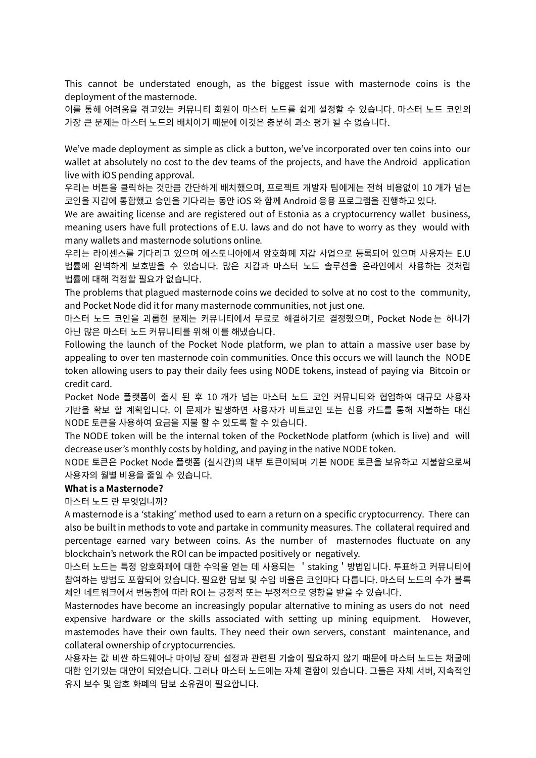This cannot be understated enough, as the biggest issue with masternode coins is the deployment of the masternode.

이를 통해 어려움을 겪고있는 커뮤니티 회원이 마스터 노드를 쉽게 설정할 수 있습니다. 마스터 노드 코인의 가장 큰 문제는 마스터 노드의 배치이기 때문에 이것은 충분히 과소 평가 될 수 없습니다.

We've made deployment as simple as click a button, we've incorporated over ten coins into our wallet at absolutely no cost to the dev teams of the projects, and have the Android application live with iOS pending approval.

우리는 버튼을 클릭하는 것만큼 간단하게 배치했으며, 프로젝트 개발자 팀에게는 전혀 비용없이 10 개가 넘는 코인을 지갑에 통합했고 승인을 기다리는 동안 iOS 와 함께 Android 응용 프로그램을 진행하고 있다.

We are awaiting license and are registered out of Estonia as a cryptocurrency wallet business, meaning users have full protections of E.U. laws and do not have to worry as they would with many wallets and masternode solutions online.

우리는 라이센스를 기다리고 있으며 에스토니아에서 암호화폐 지갑 사업으로 등록되어 있으며 사용자는 E.U 법률에 완벽하게 보호받을 수 있습니다. 많은 지갑과 마스터 노드 솔루션을 온라인에서 사용하는 것처럼 법률에 대해 걱정할 필요가 없습니다.

The problems that plagued masternode coins we decided to solve at no cost to the community, and Pocket Node did it for many masternode communities, not just one.

마스터 노드 코인을 괴롭힌 문제는 커뮤니티에서 무료로 해결하기로 결정했으며, Pocket Node 는 하나가 아닌 많은 마스터 노드 커뮤니티를 위해 이를 해냈습니다.

Following the launch of the Pocket Node platform, we plan to attain a massive user base by appealing to over ten masternode coin communities. Once this occurs we will launch the NODE token allowing users to pay their daily fees using NODE tokens, instead of paying via Bitcoin or credit card.

Pocket Node 플랫폼이 출시 된 후 10 개가 넘는 마스터 노드 코인 커뮤니티와 협업하여 대규모 사용자 기반을 확보 할 계획입니다. 이 문제가 발생하면 사용자가 비트코인 또는 신용 카드를 통해 지불하는 대신 NODE 토큰을 사용하여 요금을 지불 할 수 있도록 할 수 있습니다.

The NODE token will be the internal token of the PocketNode platform (which is live) and will decrease user's monthly costs by holding, and paying in the native NODE token.

NODE 토큰은 Pocket Node 플랫폼 (실시간)의 내부 토큰이되며 기본 NODE 토큰을 보유하고 지불함으로써 사용자의 월별 비용을 줄일 수 있습니다.

#### **What is a Masternode?**

마스터 노드 란 무엇입니까?

A masternode is a 'staking' method used to earn a return on a specific cryptocurrency. There can also be built in methods to vote and partake in community measures. The collateral required and percentage earned vary between coins. As the number of masternodes fluctuate on any blockchain's network the ROI can be impacted positively or negatively.

마스터 노드는 특정 암호화폐에 대한 수익을 얻는 데 사용되는 'staking'방법입니다. 투표하고 커뮤니티에 참여하는 방법도 포함되어 있습니다. 필요한 담보 및 수입 비율은 코인마다 다릅니다. 마스터 노드의 수가 블록 체인 네트워크에서 변동함에 따라 ROI 는 긍정적 또는 부정적으로 영향을 받을 수 있습니다.

Masternodes have become an increasingly popular alternative to mining as users do not need expensive hardware or the skills associated with setting up mining equipment. However, masternodes have their own faults. They need their own servers, constant maintenance, and collateral ownership of cryptocurrencies.

사용자는 값 비싼 하드웨어나 마이닝 장비 설정과 관련된 기술이 필요하지 않기 때문에 마스터 노드는 채굴에 대한 인기있는 대안이 되었습니다. 그러나 마스터 노드에는 자체 결함이 있습니다. 그들은 자체 서버, 지속적인 유지 보수 및 암호 화폐의 담보 소유권이 필요합니다.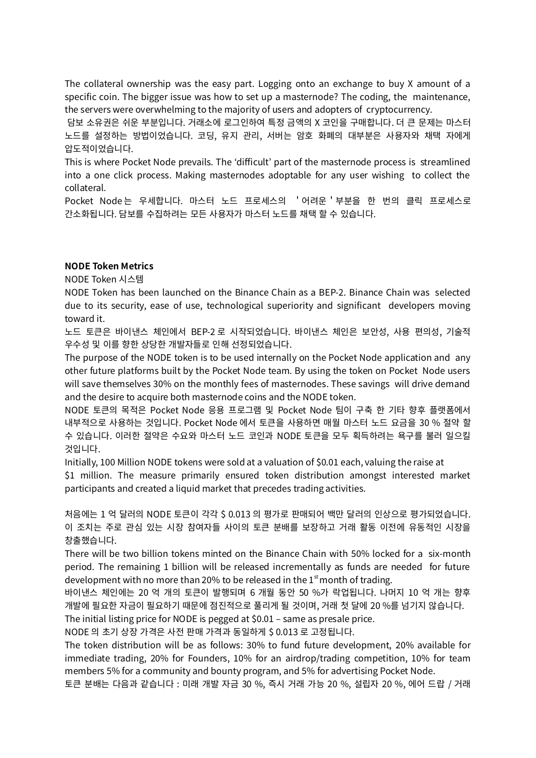The collateral ownership was the easy part. Logging onto an exchange to buy X amount of a specific coin. The bigger issue was how to set up a masternode? The coding, the maintenance, the servers were overwhelming to the majority of users and adopters of cryptocurrency.

담보 소유권은 쉬운 부분입니다. 거래소에 로그인하여 특정 금액의 X 코인을 구매합니다. 더 큰 문제는 마스터 노드를 설정하는 방법이었습니다. 코딩, 유지 관리, 서버는 암호 화폐의 대부분은 사용자와 채택 자에게 압도적이었습니다.

This is where Pocket Node prevails. The 'difficult' part of the masternode process is streamlined into a one click process. Making masternodes adoptable for any user wishing to collect the collateral.

Pocket Node 는 우세합니다. 마스터 노드 프로세스의 '어려운'부분을 한 번의 클릭 프로세스로 간소화됩니다. 담보를 수집하려는 모든 사용자가 마스터 노드를 채택 할 수 있습니다.

# **NODE Token Metrics**

NODE Token 시스템

NODE Token has been launched on the Binance Chain as a BEP-2. Binance Chain was selected due to its security, ease of use, technological superiority and significant developers moving toward it.

노드 토큰은 바이낸스 체인에서 BEP-2 로 시작되었습니다. 바이낸스 체인은 보안성, 사용 편의성, 기술적 우수성 및 이를 향한 상당한 개발자들로 인해 선정되었습니다.

The purpose of the NODE token is to be used internally on the Pocket Node application and any other future platforms built by the Pocket Node team. By using the token on Pocket Node users will save themselves 30% on the monthly fees of masternodes. These savings will drive demand and the desire to acquire both masternode coins and the NODE token.

NODE 토큰의 목적은 Pocket Node 응용 프로그램 및 Pocket Node 팀이 구축 한 기타 향후 플랫폼에서 내부적으로 사용하는 것입니다. Pocket Node 에서 토큰을 사용하면 매월 마스터 노드 요금을 30 % 절약 할 수 있습니다. 이러한 절약은 수요와 마스터 노드 코인과 NODE 토큰을 모두 획득하려는 욕구를 불러 일으킬 것입니다.

Initially, 100 Million NODE tokens were sold at a valuation of \$0.01 each, valuing the raise at

\$1 million. The measure primarily ensured token distribution amongst interested market participants and created a liquid market that precedes trading activities.

처음에는 1 억 달러의 NODE 토큰이 각각 \$ 0.013 의 평가로 판매되어 백만 달러의 인상으로 평가되었습니다. 이 조치는 주로 관심 있는 시장 참여자들 사이의 토큰 분배를 보장하고 거래 활동 이전에 유동적인 시장을 창출했습니다.

There will be two billion tokens minted on the Binance Chain with 50% locked for a six-month period. The remaining 1 billion will be released incrementally as funds are needed for future development with no more than 20% to be released in the 1st month of trading.

바이낸스 체인에는 20 억 개의 토큰이 발행되며 6 개월 동안 50 %가 락업됩니다. 나머지 10 억 개는 향후 개발에 필요한 자금이 필요하기 때문에 점진적으로 풀리게 될 것이며, 거래 첫 달에 20 %를 넘기지 않습니다.

The initial listing price for NODE is pegged at \$0.01 – same as presale price.

NODE 의 초기 상장 가격은 사전 판매 가격과 동일하게 \$ 0.013 로 고정됩니다.

The token distribution will be as follows: 30% to fund future development, 20% available for immediate trading, 20% for Founders, 10% for an airdrop/trading competition, 10% for team members 5% for a community and bounty program, and 5% for advertising Pocket Node.

토큰 분배는 다음과 같습니다 : 미래 개발 자금 30 %, 즉시 거래 가능 20 %, 설립자 20 %, 에어 드랍 / 거래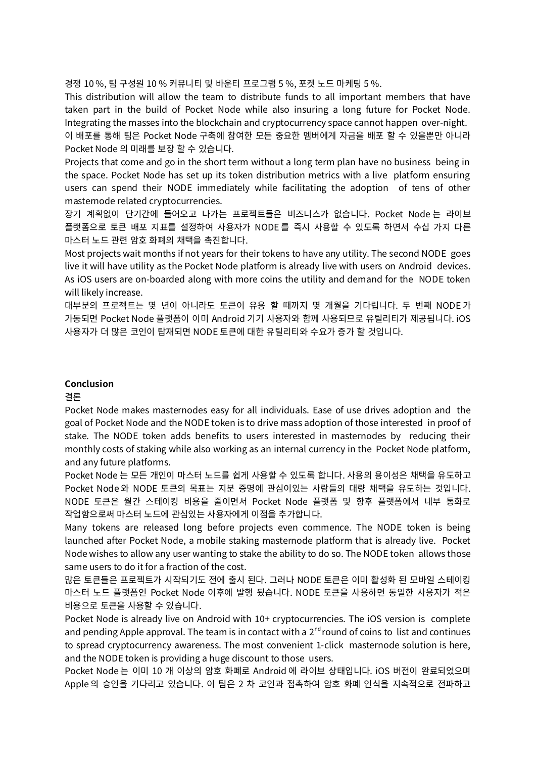경쟁 10 %, 팀 구성원 10 % 커뮤니티 및 바운티 프로그램 5 %, 포켓 노드 마케팅 5 %.

This distribution will allow the team to distribute funds to all important members that have taken part in the build of Pocket Node while also insuring a long future for Pocket Node. Integrating the masses into the blockchain and cryptocurrency space cannot happen over-night. 이 배포를 통해 팀은 Pocket Node 구축에 참여한 모든 중요한 멤버에게 자금을 배포 할 수 있을뿐만 아니라

Pocket Node 의 미래를 보장 할 수 있습니다.

Projects that come and go in the short term without a long term plan have no business being in the space. Pocket Node has set up its token distribution metrics with a live platform ensuring users can spend their NODE immediately while facilitating the adoption of tens of other masternode related cryptocurrencies.

장기 계획없이 단기간에 들어오고 나가는 프로젝트들은 비즈니스가 없습니다. Pocket Node 는 라이브 플랫폼으로 토큰 배포 지표를 설정하여 사용자가 NODE 를 즉시 사용할 수 있도록 하면서 수십 가지 다른 마스터 노드 관련 암호 화폐의 채택을 촉진합니다.

Most projects wait months if not years for their tokens to have any utility. The second NODE goes live it will have utility as the Pocket Node platform is already live with users on Android devices. As iOS users are on-boarded along with more coins the utility and demand for the NODE token will likely increase.

대부분의 프로젝트는 몇 년이 아니라도 토큰이 유용 할 때까지 몇 개월을 기다립니다. 두 번째 NODE 가 가동되면 Pocket Node 플랫폼이 이미 Android 기기 사용자와 함께 사용되므로 유틸리티가 제공됩니다. iOS 사용자가 더 많은 코인이 탑재되면 NODE 토큰에 대한 유틸리티와 수요가 증가 할 것입니다.

### **Conclusion**

결론

Pocket Node makes masternodes easy for all individuals. Ease of use drives adoption and the goal of Pocket Node and the NODE token is to drive mass adoption of those interested in proof of stake. The NODE token adds benefits to users interested in masternodes by reducing their monthly costs of staking while also working as an internal currency in the Pocket Node platform, and any future platforms.

Pocket Node 는 모든 개인이 마스터 노드를 쉽게 사용할 수 있도록 합니다. 사용의 용이성은 채택을 유도하고 Pocket Node 와 NODE 토큰의 목표는 지분 증명에 관심이있는 사람들의 대량 채택을 유도하는 것입니다. NODE 토큰은 월간 스테이킹 비용을 줄이면서 Pocket Node 플랫폼 및 향후 플랫폼에서 내부 통화로 작업함으로써 마스터 노드에 관심있는 사용자에게 이점을 추가합니다.

Many tokens are released long before projects even commence. The NODE token is being launched after Pocket Node, a mobile staking masternode platform that is already live. Pocket Node wishes to allow any user wanting to stake the ability to do so. The NODE token allows those same users to do it for a fraction of the cost.

많은 토큰들은 프로젝트가 시작되기도 전에 출시 된다. 그러나 NODE 토큰은 이미 활성화 된 모바일 스테이킹 마스터 노드 플랫폼인 Pocket Node 이후에 발행 됬습니다. NODE 토큰을 사용하면 동일한 사용자가 적은 비용으로 토큰을 사용할 수 있습니다.

Pocket Node is already live on Android with 10+ cryptocurrencies. The iOS version is complete and pending Apple approval. The team is in contact with a 2 $^{\text{nd}}$  round of coins to list and continues to spread cryptocurrency awareness. The most convenient 1-click masternode solution is here, and the NODE token is providing a huge discount to those users.

Pocket Node 는 이미 10 개 이상의 암호 화폐로 Android 에 라이브 상태입니다. iOS 버전이 완료되었으며 Apple 의 승인을 기다리고 있습니다. 이 팀은 2 차 코인과 접촉하여 암호 화폐 인식을 지속적으로 전파하고